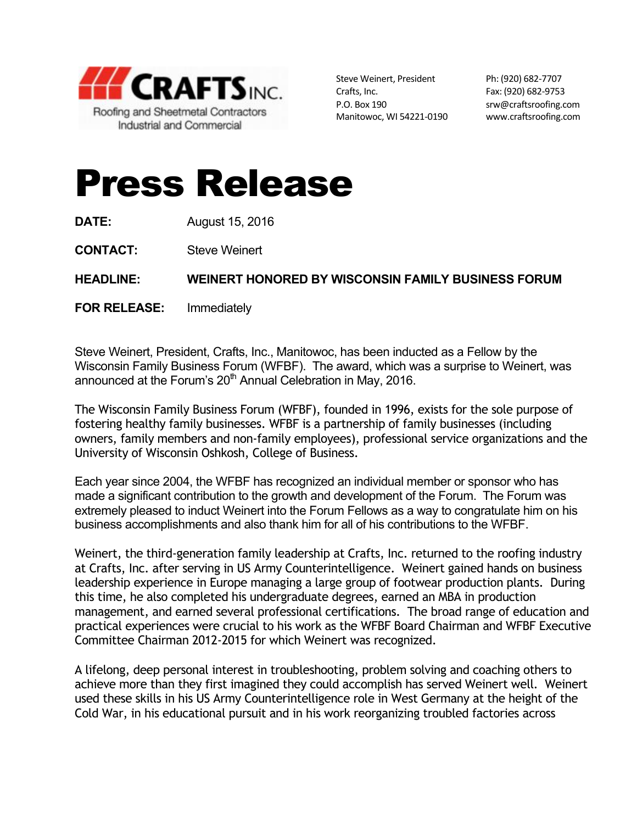

Steve Weinert, President Ph: (920) 682-7707 Crafts, Inc. 682-9753 P.O. Box 190 srw@craftsroofing.com Manitowoc, WI 54221-0190 www.craftsroofing.com

## Press Release

**DATE:** August 15, 2016

**CONTACT:** Steve Weinert

**HEADLINE: WEINERT HONORED BY WISCONSIN FAMILY BUSINESS FORUM**

**FOR RELEASE:** Immediately

Steve Weinert, President, Crafts, Inc., Manitowoc, has been inducted as a Fellow by the Wisconsin Family Business Forum (WFBF). The award, which was a surprise to Weinert, was announced at the Forum's 20<sup>th</sup> Annual Celebration in May, 2016.

The Wisconsin Family Business Forum (WFBF), founded in 1996, exists for the sole purpose of fostering healthy family businesses. WFBF is a partnership of family businesses (including owners, family members and non-family employees), professional service organizations and the University of Wisconsin Oshkosh, College of Business.

Each year since 2004, the WFBF has recognized an individual member or sponsor who has made a significant contribution to the growth and development of the Forum. The Forum was extremely pleased to induct Weinert into the Forum Fellows as a way to congratulate him on his business accomplishments and also thank him for all of his contributions to the WFBF.

Weinert, the third-generation family leadership at Crafts, Inc. returned to the roofing industry at Crafts, Inc. after serving in US Army Counterintelligence. Weinert gained hands on business leadership experience in Europe managing a large group of footwear production plants. During this time, he also completed his undergraduate degrees, earned an MBA in production management, and earned several professional certifications. The broad range of education and practical experiences were crucial to his work as the WFBF Board Chairman and WFBF Executive Committee Chairman 2012-2015 for which Weinert was recognized.

A lifelong, deep personal interest in troubleshooting, problem solving and coaching others to achieve more than they first imagined they could accomplish has served Weinert well. Weinert used these skills in his US Army Counterintelligence role in West Germany at the height of the Cold War, in his educational pursuit and in his work reorganizing troubled factories across